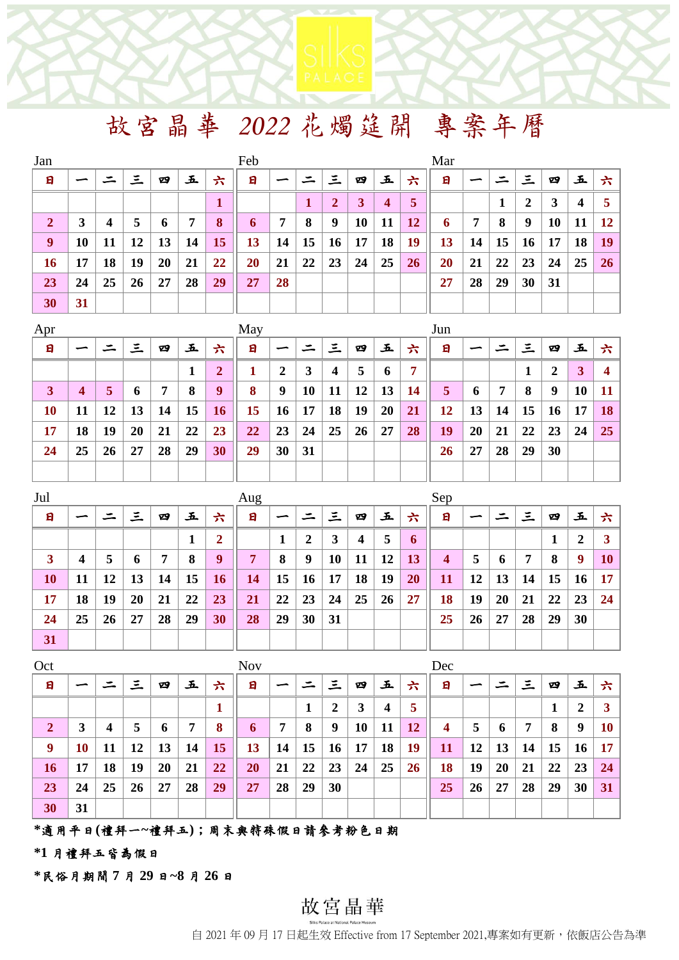# 故宮晶華 *2022* 花燭筵開 專案年曆

| Jan              |    |    |    |    |    |    | Feb |    |    |                |    |                         |           | Mar |    |    |    |           |    |    |
|------------------|----|----|----|----|----|----|-----|----|----|----------------|----|-------------------------|-----------|-----|----|----|----|-----------|----|----|
| 日                |    |    | 三  | 四  | 玉  | 六  | 日   |    |    | 三              | 四  | 五                       | 六         | 日   |    |    | 三  | 四         | 五  |    |
|                  |    |    |    |    |    |    |     |    |    | $\overline{2}$ | 3  | $\overline{\mathbf{4}}$ | 5         |     |    |    | 2  | 3         | 4  |    |
| $\boldsymbol{2}$ | 3  | 4  | 5  | 6  | 7  | 8  | 6   | 7  | 8  | 9              | 10 | 11                      | 12        | 6   | 7  | 8  | 9  | <b>10</b> | 11 | 12 |
| $\boldsymbol{9}$ | 10 | 11 | 12 | 13 | 14 | 15 | 13  | 14 | 15 | 16             | 17 | 18                      | <b>19</b> | 13  | 14 | 15 | 16 | 17        | 18 | 19 |
| 16               | 17 | 18 | 19 | 20 | 21 | 22 | 20  | 21 | 22 | 23             | 24 | 25                      | 26        | 20  | 21 | 22 | 23 | 24        | 25 | 26 |
| 23               | 24 | 25 | 26 | 27 | 28 | 29 | 27  | 28 |    |                |    |                         |           | 27  | 28 | 29 | 30 | 31        |    |    |
| 30               | 31 |    |    |    |    |    |     |    |    |                |    |                         |           |     |    |    |    |           |    |    |

| Apr |    |    |              |    |    |              | May |    |    |    |    |    |    | Jun |    |    |    |                  |    |                 |
|-----|----|----|--------------|----|----|--------------|-----|----|----|----|----|----|----|-----|----|----|----|------------------|----|-----------------|
| 日   |    |    | 三            | 四  | 五  | 六            | 日   |    |    | 三  | 四  | 玉  | 六  | 日   |    |    | 三  | 四                | 玉  | 六               |
|     |    |    |              |    | 1  | $\mathbf{2}$ |     | 2  | 3  | 4  | 5  | 6  | 7  |     |    |    |    | $\boldsymbol{2}$ | 3  |                 |
| 3   | 4  | 5  | <sup>0</sup> | 7  | 8  | 9            | 8   | 9  | 10 | 11 | 12 | 13 | 14 | 5   | 6  | 7  | 8  | 9                | 10 |                 |
| 10  | 11 | 12 | 13           | 14 | 15 | 16           | 15  | 16 | 17 | 18 | 19 | 20 | 21 | 12  | 13 | 14 | 15 | 16               | 17 | 18 <sup>1</sup> |
| 17  | 18 | 19 | 20           | 21 | 22 | 23           | 22  | 23 | 24 | 25 | 26 | 27 | 28 | 19  | 20 | 21 | 22 | 23               | 24 | $25 \mid$       |
| 24  | 25 | 26 | 27           | 28 | 29 | 30           | 29  | 30 | 31 |    |    |    |    | 26  | 27 | 28 | 29 | 30               |    |                 |
|     |    |    |              |    |    |              |     |    |    |    |    |    |    |     |    |    |    |                  |    |                 |

| Jul |    |    |    |    |    |    | Aug |    |    |    |    |    |    | Sep                     |    |    |    |    |                  |           |
|-----|----|----|----|----|----|----|-----|----|----|----|----|----|----|-------------------------|----|----|----|----|------------------|-----------|
| 日   |    |    | 三  | 四  | 玉  | 六  | 日   |    |    | 三  | 四  | Ł. | 六  | 日                       |    |    | 三  | 四  | 玉                | 六         |
|     |    |    |    |    | Л  | 2  |     |    | 2  | 3  | 4  | 5  | 6  |                         |    |    |    |    | $\boldsymbol{2}$ |           |
| 3   | 4  | 5  | 6  | 7  | 8  | 9  | 7   | 8  | 9  | 10 | 11 | 12 | 13 | $\overline{\mathbf{4}}$ | 5  | 6  | 7  | 8  | 9                | <b>10</b> |
| 10  | 11 | 12 | 13 | 14 | 15 | 16 | 14  | 15 | 16 | 17 | 18 | 19 | 20 | 11                      | 12 | 13 | 14 | 15 | 16               | 17        |
| 17  | 18 | 19 | 20 | 21 | 22 | 23 | 21  | 22 | 23 | 24 | 25 | 26 | 27 | 18                      | 19 | 20 | 21 | 22 | 23               | 24        |
| 24  | 25 | 26 | 27 | 28 | 29 | 30 | 28  | 29 | 30 | 31 |    |    |    | 25                      | 26 | 27 | 28 | 29 | 30               |           |
| 31  |    |    |    |    |    |    |     |    |    |    |    |    |    |                         |    |    |    |    |                  |           |

| Oct            |    |    |    |    |    |    | <b>Nov</b> |    |    |    |    |    |    | Dec |    |    |    |    |    |           |
|----------------|----|----|----|----|----|----|------------|----|----|----|----|----|----|-----|----|----|----|----|----|-----------|
| 日              |    |    | 三  | 四  | 五  | 六  | 日          |    |    | 三  | 四  | 五  | 六  | 日   |    | ⋍  | 三  | 四  | 玉  | 六         |
|                |    |    |    |    |    |    |            |    |    | 2  | 3  | 4  | 5  |     |    |    |    |    | 2  | 3         |
| $\overline{2}$ | 3  | 4  | 5  | 6  | 7  | 8  | 6          | 7  | 8  | 9  | 10 | 11 | 12 | 4   | 5  | 6  | 7  | 8  | 9  | <b>10</b> |
| 9              | 10 | 11 | 12 | 13 | 14 | 15 | 13         | 14 | 15 | 16 | 17 | 18 | 19 | 11  | 12 | 13 | 14 | 15 | 16 | 17        |
| 16             | 17 | 18 | 19 | 20 | 21 | 22 | 20         | 21 | 22 | 23 | 24 | 25 | 26 | 18  | 19 | 20 | 21 | 22 | 23 | 24        |
| 23             | 24 | 25 | 26 | 27 | 28 | 29 | 27         | 28 | 29 | 30 |    |    |    | 25  | 26 | 27 | 28 | 29 | 30 | 31        |
| 30             | 31 |    |    |    |    |    |            |    |    |    |    |    |    |     |    |    |    |    |    |           |

### **\***適用平日**(**禮拜一**~**禮拜五**)**;周末與特殊假日請參考粉色日期

**\*1** 月禮拜五皆為假日

**\***民俗月期間 **7** 月 **29** 日**~8** 月 **26** 日

# 故宮晶華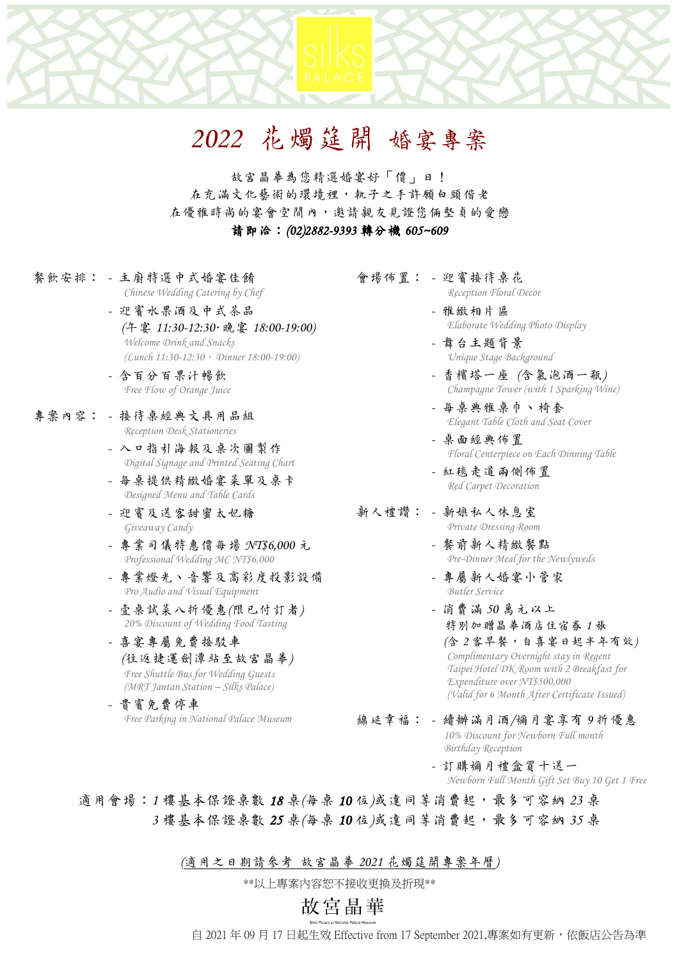# *2022* 花燭筵開 婚宴專案

故宮晶華為您精選婚宴好「價」日! 在充滿文化藝術的環境裡,執子之手許願白頭偕老 在優雅時尚的宴會空間內,邀請親友見證您倆堅貞的愛戀 請即洽:*(02)2882-9393* 轉分機 *605~609*

- 餐飲安排: *-* 主廚特選中式婚宴佳餚 *Chinese Wedding Catering by Chef*
	- *-* 迎賓水果酒及中式茶品 *(*午宴 *11:30-12:30*.晚宴 *18:00-19:00) Welcome Drink and Snacks (Lunch 11:30-12:30*.*Dinner 18:00-19:00)*
	- *-* 含百分百果汁暢飲 *Free Flow of Orange Juice*
- 專案內容: *-* 接待桌經典文具用品組 *Reception Desk Stationeries*
	- *-* 入口指引海報及桌次圖製作 *Digital Signage and Printed Seating Chart*
	- *-* 每桌提供精緻婚宴菜單及桌卡 *Designed Menu and Table Cards*
	- *-* 迎賓及送客甜蜜太妃糖 *Giveaway Candy*
	- *-* 專業司儀特惠價每場 *NT\$6,000* 元 *Professional Wedding MC NT\$6,000*
	- *-* 專業燈光、音響及高彩度投影設備 *Pro Audio and Visual Equipment*
	- *-* 壹桌試菜八折優惠*(*限已付訂者*) 20% Discount of Wedding Food Tasting*
	- *-* 喜宴專屬免費接駁車 *(*往返捷運劍潭站至故宮晶華*) Free Shuttle Bus for Wedding Guests (MRT Jantan Station – Silks Palace)*
	- *-* 貴賓免費停車 *Free Parking in National Palace Museum*
- 會場佈置: *-* 迎賓接待桌花
	- *Reception Floral Decor*
	- *-* 雅緻相片區 *Elaborate Wedding Photo Display*
	- *-* 舞台主題背景 *Unique Stage Background*
	- *-* 香檳塔一座 *(*含氣泡酒一瓶*) Champagne Tower (with 1 Sparking Wine)*
	- *-* 每桌典雅桌巾、椅套 *Elegant Table Cloth and Seat Cover*
	- *-* 桌面經典佈置 *Floral Centerpiece on Each Dinning Table*
	- *-* 紅毯走道兩側佈置 *Red Carpet Decoration*

#### 新人禮讚: *-* 新娘私人休息室 *Private Dressing Room*

- *-* 餐前新人精緻餐點 *Pre-Dinner Meal for the Newlyweds*
- *-* 專屬新人婚宴小管家 *Butler Service*
- *-* 消費滿 *50* 萬元以上 特別加贈晶華酒店住宿券 *1* 張  *(*含 *2* 客早餐,自喜宴日起半年有效*) Complimentary Overnight stay in Regent Taipei Hotel DK Room with 2 Breakfast for Expenditure over NT\$500,000 (Valid for 6 Month After Certificate Issued)*
- 綿延幸福: *-* 續辦滿月酒*/*彌月宴享有 *9* 折優惠 *10% Discount for Newborn Full month Birthday Reception*
	- *-* 訂購彌月禮盒買十送一 *Newborn Full Month Gift Set Buy 10 Get 1 Free*

適用會場:1樓基本保證桌數 18 桌(每桌 10位)或達同等消費起,最多可容納 23 桌  *3* 樓基本保證桌數 *25* 桌*(*每桌 *10* 位*)*或達同等消費起,最多可容納 *35* 桌

*(*適用之日期請參考 故宮晶華 *2021* 花燭筵開專案年曆*)*

\*\*以上專案內容恕不接收更換及折現\*\*

# 故宮晶華

自 2021 年 09 月 17 日起生效 Effective from 17 September 2021,專案如有更新,依飯店公告為準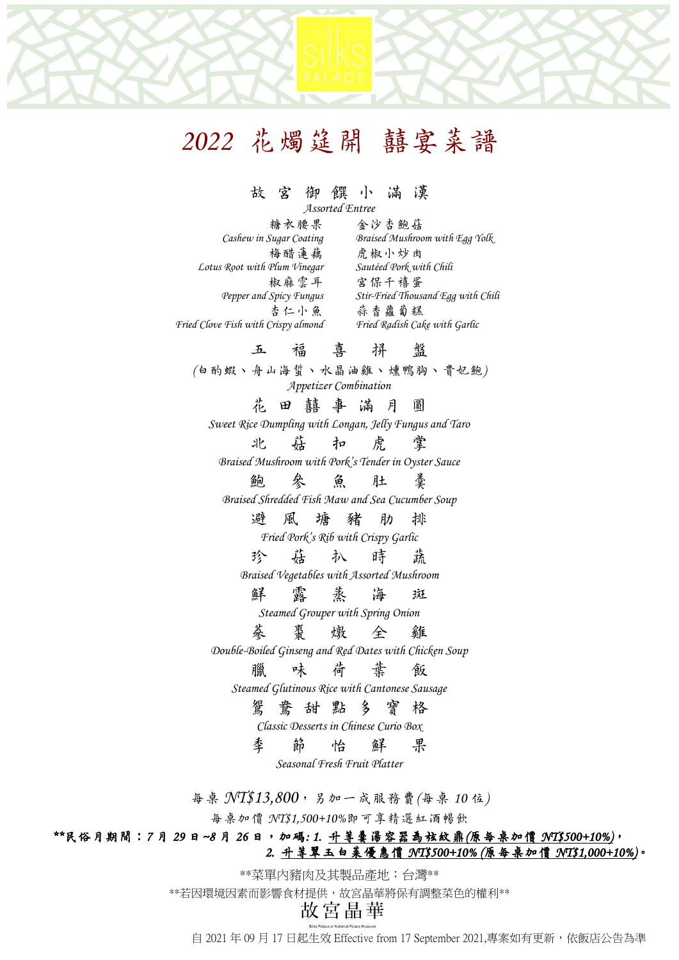# *2022* 花燭筵開 囍宴菜譜

#### 故 宮 御 饌 小 滿 漢

*Assorted Entree*

**糖衣腰果** 金沙杏鮑菇<br>Cashew in Sugar Coating Braised Mushrow *Cashew in Sugar Coating Braised Mushroom with Egg Yolk* 梅醋蓮藕 虎椒小炒肉<br>Plum Vinegar Sautéed Pork with Chili *Lotus* Root with Plum Vinegar 椒麻雲耳 宮保千禧蛋<br>Pepper and Spicy Fungus Stir-Fried Thous *Pepper and Spicy Fungus Stir-Fried Thousand Egg with Chili* 杏仁小魚 蒜香蘿蔔糕 *Fried Clove Fish with Crispy almond Fried Radish Cake with Garlic*

### 五 福 喜 拼 盤

*(*白酌蝦、舟山海蜇、水晶油雞、燻鴨胸、貴妃鮑*) Appetizer Combination*

花田囍事 滿 月 圓

*Sweet Rice Dumpling with Longan, Jelly Fungus and Taro*

北 菇 扣 虎 掌 *Braised Mushroom with Pork's Tender in Oyster Sauce*

鮑 參 魚 肚 羹

*Braised Shredded Fish Maw and Sea Cucumber Soup*

避 風 塘 豬 肋 排

*Fried Pork's Rib with Crispy Garlic*

珍 菇 扒 時 蔬 *Braised Vegetables with Assorted Mushroom*

鮮 露蒸海 斑

*Steamed Grouper with Spring Onion*

蔘 棗 燉 全 雞

*Double-Boiled Ginseng and Red Dates with Chicken Soup* 

### 臘 味 荷 葉 飯

*Steamed Glutinous Rice with Cantonese Sausage*

### 鴛 鴦 甜 點 多 寶 格

*Classic Desserts in Chinese Curio Box*

季 節 怡 鮮 果

*Seasonal Fresh Fruit Platter*

每桌 *NT\$13,800*,另加一成服務費*(*每桌 *10* 位*)*

每桌加價 *NT\$1,500+10%*即可享精選紅酒暢飲

#### *\*\**民俗月期間:*7* 月 *29* 日*~8* 月 *26* 日,加碼*: 1.* 升等羹湯容器為弦紋鼎*(*原每桌加價 *NT\$500+10%)*, *2.* 升等翠玉白菜優惠價 *NT\$500+10% (*原每桌加價 *NT\$1,000+10%)*。

\*\*菜單內豬肉及其製品產地:台灣\*\*

\*\*若因環境因素而影響食材提供,故宮晶華將保有調整菜色的權利\*\*

自 2021 年 09 月 17 日起生效 Effective from 17 September 2021,專案如有更新,依飯店公告為準